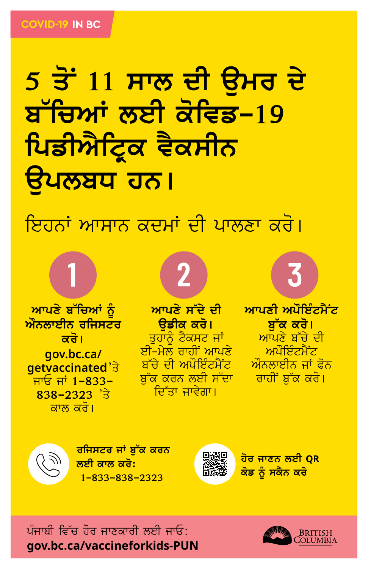## <mark>5 ਤੋਂ 11 ਸਾਲ ਦੀ ਉਮਰ ਦੇ</mark> ਬ ਰਿਆਂ ਲਈ ਕਵਿਡ-19 ਪਿਡੀਐਟ੍ਰਿਕ ਵੈਕਸੀਨ विधल**य गठ।**

ਇਹਨਾਂ ਆਸਾਨ ਕਦਮਾਂ ਦੀ ਪਾਲਣਾ ਕਰੋ।

<mark>ਆਪਣੇ ਬੱਚਿਆਂ ਨੂੰ</mark> <mark>ਔਨਲਾਈਨ ਰਜਿਸਟਰ</mark> <u>ਕਰੋ।</u> **gov.bc.ca/ getvaccinated**'ਤे <u>ਜਾਓ ਜਾਂ 1-833-</u> **838-2323** 'ਤੇ ਕਾਲ ਕਰੋ।

**ਆਪਣੇ ਸੱਦੇ ਦੀ** <mark>ਉਡੀਕ ਕਰੋ।</mark> ਤਹਾਨੂੰ ਟੈਕਸਟ ਜਾਂ <u>ਈ-ਮੇਲ ਰਾਹੀਂ ਆਪਣੇ</u> <u>ਬੱਚੇ ਦੀ ਅਪੌਇੰਟਮੈਂਟ</u> <u>ਬੱਕ ਕਰਨ ਲਈ ਸੱਦਾ</u> ਦਿੱਤਾ ਜਾਵੇਗਾ।

 $\boxed{2}$ 

**ਆਪਣੀ ਅਪੌਇੰਟਮੈਂਟ** <u>ਬੱਕ ਕਰੋ।</u> ਆਪਣੇ ਬੱਚੇ ਦੀ ਅਪੌਇੰਟਮੈਂਟ ਔਨਲਾਈਨ ਜਾਂ ਫੋਨ <mark>ਰਾਹੀਂ ਬੱਕ ਕਰੋ।</mark>

3



<mark>ਰਜਿਸਟਰ ਜਾਂ ਬੁੱਕ ਕਰਨ</mark> **ਲਈ ਕਾਲ ਕਰੋ: 1-833-838-2323**

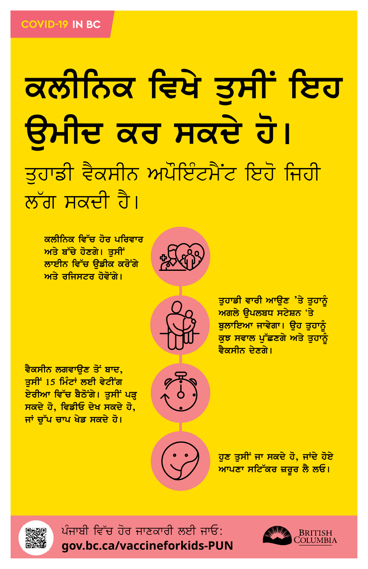## ਕਲੀਨਿਕ ਵਿਖੇ ਤੁਸੀਂ ਇਹ <mark>ਉਮੀਦ ਕਰ ਸਕਦੇ ਹੋ।</mark> ਤਹਾਡੀ ਵੈਕਸੀਨ ਅਪੌਇੰਟਮੈਂਟ ਇਹੋ ਜਿਹੀ ਲੱਗ ਸਕਦੀ ਹੈ।

ਕਲੀਨਿਕ ਵਿੱਚ ਹੋਰ ਪਰਿਵਾਰ ਅਤੇ ਬੱਚੇ ਹੋਣਗੇ। ਤੁਸੀਂ <u>ਲਾਈਨ ਵਿੱਚ ੳਡੀਕ ਕਰੋਂਗੇ</u> ਅਤੇ ਰਜਿਸਟਰ ਹੋਵੋ**ਂਗੇ**।





ਤੁਹਾਡੀ ਵਾਰੀ ਆਉਣ 'ਤੇ ਤੁਹਾਨੂੰ ਅਗਲੇ ਉਪਲਬਧ ਸਟੇਸ਼ਨ 'ਤੇ ਬੁਲਾਇਆ ਜਾਵੇਗਾ। ਉਹ ਤੁਹਾਨੂੰ ਕੁਝ ਸਵਾਲ ਪੁੱਛਣਗੇ ਅਤੇ ਤੁਹਾਨੂੰ <mark>ਵੈਕਸੀਨ ਦੇਣਗੇ।</mark>

<u>ਵੈਕਸੀਨ ਲਗਵਾਉਣ ਤੋਂ ਬਾਦ,</u> ਤਸੀਂ 15 ਮਿੰਟਾਂ ਲਈ ਵੇਟੀਂਗ ਏਰੀਆ ਵਿੱਚ ਬੈਠੋਂਗੇ। ਤੁਸੀਂ ਪੜ੍ਹ ਸਕਦੇ ਹੋ, ਵਿਡੀਓ ਦੇਖ ਸਕਦੇ ਹੋ, <mark>ਜਾਂ ਚੁੱਪ ਚਾਪ ਖੇਡ ਸਕਦੇ ਹੋ।</mark>



ਹੁਣ ਤੁਸੀਂ ਜਾ ਸਕਦੇ ਹੋ, ਜਾਂਦੇ ਹੋਏ <mark>ਆਪਣਾ ਸਟਿੱਕਰ ਜ਼ਰੂਰ ਲੈ ਲਓ।</mark>



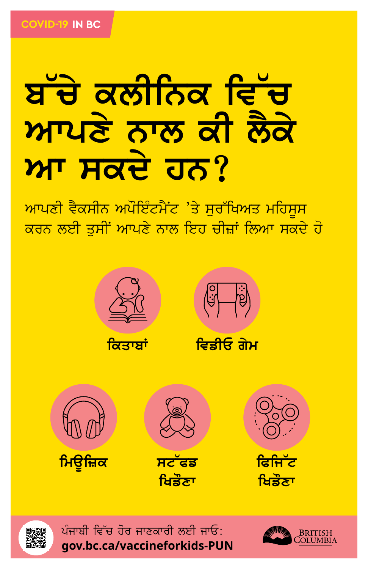# ਆਪਣੇ ਨਾਲ ਕੀ ਲੋਕੇ ML Has 22

ਆਪਣੀ ਵੈਕਸੀਨ ਅਪੌਇੰਟਮੈਂਟ 'ਤੇ ਸੁਰੱਖਿਅਤ ਮਹਿਸੂਸ ਕਰਨ ਲਈ ਤੁਸੀਂ ਆਪਣੇ ਨਾਲ ਇਹ ਚੀਜ਼ਾਂ ਲਿਆ ਸਕਦੇ ਹੋ